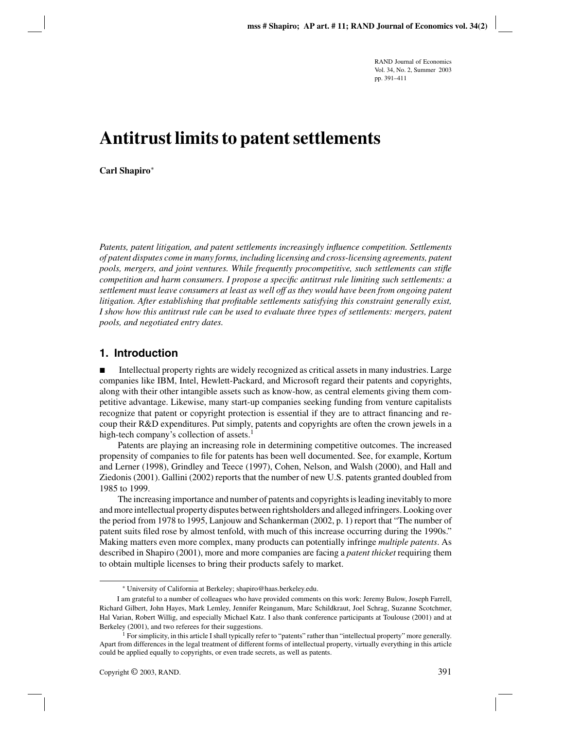# **Antitrust limits to patent settlements**

**Carl Shapiro**∗

*Patents, patent litigation, and patent settlements increasingly influence competition. Settlements of patent disputes come in many forms, including licensing and cross-licensing agreements, patent pools, mergers, and joint ventures. While frequently procompetitive, such settlements can stifle competition and harm consumers. I propose a specific antitrust rule limiting such settlements: a settlement must leave consumers at least as well off as they would have been from ongoing patent litigation. After establishing that profitable settlements satisfying this constraint generally exist, I show how this antitrust rule can be used to evaluate three types of settlements: mergers, patent pools, and negotiated entry dates.*

## **1. Introduction**

 Intellectual property rights are widely recognized as critical assets in many industries. Large companies like IBM, Intel, Hewlett-Packard, and Microsoft regard their patents and copyrights, along with their other intangible assets such as know-how, as central elements giving them competitive advantage. Likewise, many start-up companies seeking funding from venture capitalists recognize that patent or copyright protection is essential if they are to attract financing and recoup their R&D expenditures. Put simply, patents and copyrights are often the crown jewels in a high-tech company's collection of assets. $<sup>1</sup>$ </sup>

Patents are playing an increasing role in determining competitive outcomes. The increased propensity of companies to file for patents has been well documented. See, for example, Kortum and Lerner (1998), Grindley and Teece (1997), Cohen, Nelson, and Walsh (2000), and Hall and Ziedonis (2001). Gallini (2002) reports that the number of new U.S. patents granted doubled from 1985 to 1999.

The increasing importance and number of patents and copyrights is leading inevitably to more and more intellectual property disputes between rightsholders and alleged infringers. Looking over the period from 1978 to 1995, Lanjouw and Schankerman (2002, p. 1) report that "The number of patent suits filed rose by almost tenfold, with much of this increase occurring during the 1990s." Making matters even more complex, many products can potentially infringe *multiple patents*. As described in Shapiro (2001), more and more companies are facing a *patent thicket* requiring them to obtain multiple licenses to bring their products safely to market.

<sup>∗</sup> University of California at Berkeley; shapiro@haas.berkeley.edu.

I am grateful to a number of colleagues who have provided comments on this work: Jeremy Bulow, Joseph Farrell, Richard Gilbert, John Hayes, Mark Lemley, Jennifer Reinganum, Marc Schildkraut, Joel Schrag, Suzanne Scotchmer, Hal Varian, Robert Willig, and especially Michael Katz. I also thank conference participants at Toulouse (2001) and at Berkeley (2001), and two referees for their suggestions.

<sup>&</sup>lt;sup>1</sup> For simplicity, in this article I shall typically refer to "patents" rather than "intellectual property" more generally. Apart from differences in the legal treatment of different forms of intellectual property, virtually everything in this article could be applied equally to copyrights, or even trade secrets, as well as patents.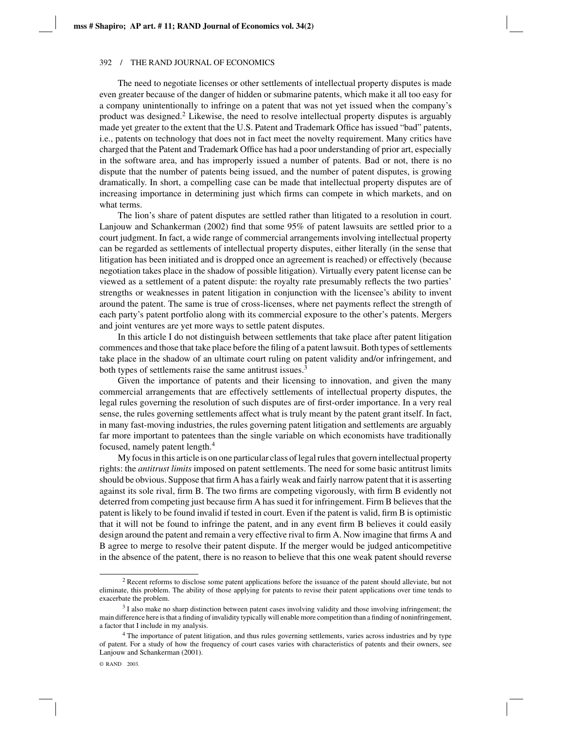The need to negotiate licenses or other settlements of intellectual property disputes is made even greater because of the danger of hidden or submarine patents, which make it all too easy for a company unintentionally to infringe on a patent that was not yet issued when the company's product was designed.<sup>2</sup> Likewise, the need to resolve intellectual property disputes is arguably made yet greater to the extent that the U.S. Patent and Trademark Office has issued "bad" patents, i.e., patents on technology that does not in fact meet the novelty requirement. Many critics have charged that the Patent and Trademark Office has had a poor understanding of prior art, especially in the software area, and has improperly issued a number of patents. Bad or not, there is no dispute that the number of patents being issued, and the number of patent disputes, is growing dramatically. In short, a compelling case can be made that intellectual property disputes are of increasing importance in determining just which firms can compete in which markets, and on what terms.

The lion's share of patent disputes are settled rather than litigated to a resolution in court. Lanjouw and Schankerman (2002) find that some 95% of patent lawsuits are settled prior to a court judgment. In fact, a wide range of commercial arrangements involving intellectual property can be regarded as settlements of intellectual property disputes, either literally (in the sense that litigation has been initiated and is dropped once an agreement is reached) or effectively (because negotiation takes place in the shadow of possible litigation). Virtually every patent license can be viewed as a settlement of a patent dispute: the royalty rate presumably reflects the two parties' strengths or weaknesses in patent litigation in conjunction with the licensee's ability to invent around the patent. The same is true of cross-licenses, where net payments reflect the strength of each party's patent portfolio along with its commercial exposure to the other's patents. Mergers and joint ventures are yet more ways to settle patent disputes.

In this article I do not distinguish between settlements that take place after patent litigation commences and those that take place before the filing of a patent lawsuit. Both types of settlements take place in the shadow of an ultimate court ruling on patent validity and/or infringement, and both types of settlements raise the same antitrust issues.<sup>3</sup>

Given the importance of patents and their licensing to innovation, and given the many commercial arrangements that are effectively settlements of intellectual property disputes, the legal rules governing the resolution of such disputes are of first-order importance. In a very real sense, the rules governing settlements affect what is truly meant by the patent grant itself. In fact, in many fast-moving industries, the rules governing patent litigation and settlements are arguably far more important to patentees than the single variable on which economists have traditionally focused, namely patent length.<sup>4</sup>

My focus in this article is on one particular class of legal rules that govern intellectual property rights: the *antitrust limits* imposed on patent settlements. The need for some basic antitrust limits should be obvious. Suppose that firm A has a fairly weak and fairly narrow patent that it is asserting against its sole rival, firm B. The two firms are competing vigorously, with firm B evidently not deterred from competing just because firm A has sued it for infringement. Firm B believes that the patent is likely to be found invalid if tested in court. Even if the patent is valid, firm B is optimistic that it will not be found to infringe the patent, and in any event firm B believes it could easily design around the patent and remain a very effective rival to firm A. Now imagine that firms A and B agree to merge to resolve their patent dispute. If the merger would be judged anticompetitive in the absence of the patent, there is no reason to believe that this one weak patent should reverse

<sup>&</sup>lt;sup>2</sup> Recent reforms to disclose some patent applications before the issuance of the patent should alleviate, but not eliminate, this problem. The ability of those applying for patents to revise their patent applications over time tends to exacerbate the problem.

 $3$  I also make no sharp distinction between patent cases involving validity and those involving infringement; the main difference here is that a finding of invalidity typically will enable more competition than a finding of noninfringement, a factor that I include in my analysis.

<sup>&</sup>lt;sup>4</sup> The importance of patent litigation, and thus rules governing settlements, varies across industries and by type of patent. For a study of how the frequency of court cases varies with characteristics of patents and their owners, see Lanjouw and Schankerman (2001).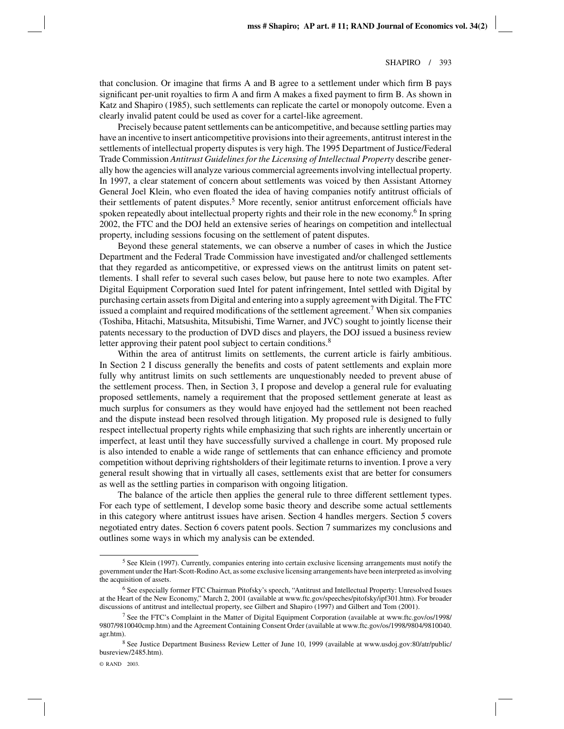that conclusion. Or imagine that firms A and B agree to a settlement under which firm B pays significant per-unit royalties to firm A and firm A makes a fixed payment to firm B. As shown in Katz and Shapiro (1985), such settlements can replicate the cartel or monopoly outcome. Even a clearly invalid patent could be used as cover for a cartel-like agreement.

Precisely because patent settlements can be anticompetitive, and because settling parties may have an incentive to insert anticompetitive provisions into their agreements, antitrust interest in the settlements of intellectual property disputes is very high. The 1995 Department of Justice/Federal Trade Commission *Antitrust Guidelines for the Licensing of Intellectual Property* describe generally how the agencies will analyze various commercial agreements involving intellectual property. In 1997, a clear statement of concern about settlements was voiced by then Assistant Attorney General Joel Klein, who even floated the idea of having companies notify antitrust officials of their settlements of patent disputes.<sup>5</sup> More recently, senior antitrust enforcement officials have spoken repeatedly about intellectual property rights and their role in the new economy.<sup>6</sup> In spring 2002, the FTC and the DOJ held an extensive series of hearings on competition and intellectual property, including sessions focusing on the settlement of patent disputes.

Beyond these general statements, we can observe a number of cases in which the Justice Department and the Federal Trade Commission have investigated and/or challenged settlements that they regarded as anticompetitive, or expressed views on the antitrust limits on patent settlements. I shall refer to several such cases below, but pause here to note two examples. After Digital Equipment Corporation sued Intel for patent infringement, Intel settled with Digital by purchasing certain assets from Digital and entering into a supply agreement with Digital. The FTC issued a complaint and required modifications of the settlement agreement.<sup>7</sup> When six companies (Toshiba, Hitachi, Matsushita, Mitsubishi, Time Warner, and JVC) sought to jointly license their patents necessary to the production of DVD discs and players, the DOJ issued a business review letter approving their patent pool subject to certain conditions.<sup>8</sup>

Within the area of antitrust limits on settlements, the current article is fairly ambitious. In Section 2 I discuss generally the benefits and costs of patent settlements and explain more fully why antitrust limits on such settlements are unquestionably needed to prevent abuse of the settlement process. Then, in Section 3, I propose and develop a general rule for evaluating proposed settlements, namely a requirement that the proposed settlement generate at least as much surplus for consumers as they would have enjoyed had the settlement not been reached and the dispute instead been resolved through litigation. My proposed rule is designed to fully respect intellectual property rights while emphasizing that such rights are inherently uncertain or imperfect, at least until they have successfully survived a challenge in court. My proposed rule is also intended to enable a wide range of settlements that can enhance efficiency and promote competition without depriving rightsholders of their legitimate returns to invention. I prove a very general result showing that in virtually all cases, settlements exist that are better for consumers as well as the settling parties in comparison with ongoing litigation.

The balance of the article then applies the general rule to three different settlement types. For each type of settlement, I develop some basic theory and describe some actual settlements in this category where antitrust issues have arisen. Section 4 handles mergers. Section 5 covers negotiated entry dates. Section 6 covers patent pools. Section 7 summarizes my conclusions and outlines some ways in which my analysis can be extended.

<sup>5</sup> See Klein (1997). Currently, companies entering into certain exclusive licensing arrangements must notify the government under the Hart-Scott-Rodino Act, as some exclusive licensing arrangements have been interpreted as involving the acquisition of assets.

<sup>6</sup> See especially former FTC Chairman Pitofsky's speech, "Antitrust and Intellectual Property: Unresolved Issues at the Heart of the New Economy," March 2, 2001 (available at www.ftc.gov/speeches/pitofsky/ipf301.htm). For broader discussions of antitrust and intellectual property, see Gilbert and Shapiro (1997) and Gilbert and Tom (2001).

<sup>7</sup> See the FTC's Complaint in the Matter of Digital Equipment Corporation (available at www.ftc.gov/os/1998/ 9807/9810040cmp.htm) and the Agreement Containing Consent Order (available at www.ftc.gov/os/1998/9804/9810040. agr.htm).

<sup>8</sup> See Justice Department Business Review Letter of June 10, 1999 (available at www.usdoj.gov:80/atr/public/ busreview/2485.htm).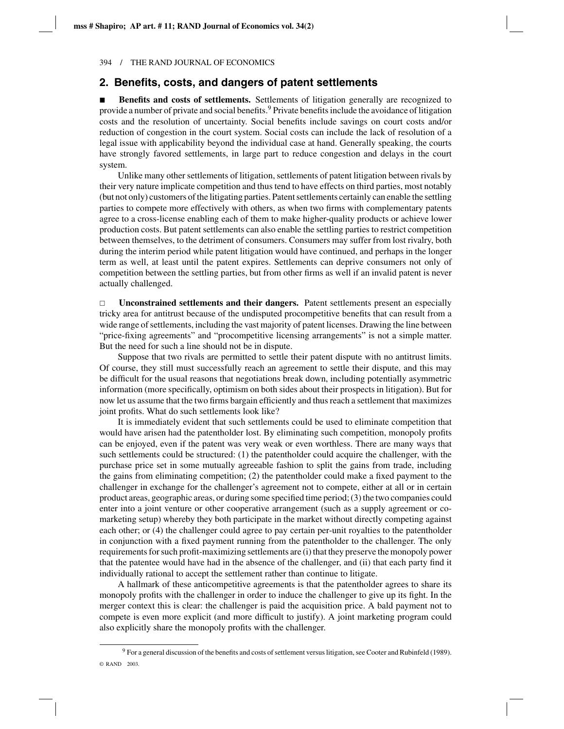### **2. Benefits, costs, and dangers of patent settlements**

 **Benefits and costs of settlements.** Settlements of litigation generally are recognized to provide a number of private and social benefits.<sup>9</sup> Private benefits include the avoidance of litigation costs and the resolution of uncertainty. Social benefits include savings on court costs and/or reduction of congestion in the court system. Social costs can include the lack of resolution of a legal issue with applicability beyond the individual case at hand. Generally speaking, the courts have strongly favored settlements, in large part to reduce congestion and delays in the court system.

Unlike many other settlements of litigation, settlements of patent litigation between rivals by their very nature implicate competition and thus tend to have effects on third parties, most notably (but not only) customers of the litigating parties. Patent settlements certainly can enable the settling parties to compete more effectively with others, as when two firms with complementary patents agree to a cross-license enabling each of them to make higher-quality products or achieve lower production costs. But patent settlements can also enable the settling parties to restrict competition between themselves, to the detriment of consumers. Consumers may suffer from lost rivalry, both during the interim period while patent litigation would have continued, and perhaps in the longer term as well, at least until the patent expires. Settlements can deprive consumers not only of competition between the settling parties, but from other firms as well if an invalid patent is never actually challenged.

 $\Box$  **Unconstrained settlements and their dangers.** Patent settlements present an especially tricky area for antitrust because of the undisputed procompetitive benefits that can result from a wide range of settlements, including the vast majority of patent licenses. Drawing the line between "price-fixing agreements" and "procompetitive licensing arrangements" is not a simple matter. But the need for such a line should not be in dispute.

Suppose that two rivals are permitted to settle their patent dispute with no antitrust limits. Of course, they still must successfully reach an agreement to settle their dispute, and this may be difficult for the usual reasons that negotiations break down, including potentially asymmetric information (more specifically, optimism on both sides about their prospects in litigation). But for now let us assume that the two firms bargain efficiently and thus reach a settlement that maximizes joint profits. What do such settlements look like?

It is immediately evident that such settlements could be used to eliminate competition that would have arisen had the patentholder lost. By eliminating such competition, monopoly profits can be enjoyed, even if the patent was very weak or even worthless. There are many ways that such settlements could be structured: (1) the patentholder could acquire the challenger, with the purchase price set in some mutually agreeable fashion to split the gains from trade, including the gains from eliminating competition; (2) the patentholder could make a fixed payment to the challenger in exchange for the challenger's agreement not to compete, either at all or in certain product areas, geographic areas, or during some specified time period; (3) the two companies could enter into a joint venture or other cooperative arrangement (such as a supply agreement or comarketing setup) whereby they both participate in the market without directly competing against each other; or (4) the challenger could agree to pay certain per-unit royalties to the patentholder in conjunction with a fixed payment running from the patentholder to the challenger. The only requirements for such profit-maximizing settlements are (i) that they preserve the monopoly power that the patentee would have had in the absence of the challenger, and (ii) that each party find it individually rational to accept the settlement rather than continue to litigate.

A hallmark of these anticompetitive agreements is that the patentholder agrees to share its monopoly profits with the challenger in order to induce the challenger to give up its fight. In the merger context this is clear: the challenger is paid the acquisition price. A bald payment not to compete is even more explicit (and more difficult to justify). A joint marketing program could also explicitly share the monopoly profits with the challenger.

<sup>9</sup> For a general discussion of the benefits and costs of settlement versus litigation, see Cooter and Rubinfeld (1989). © RAND 2003.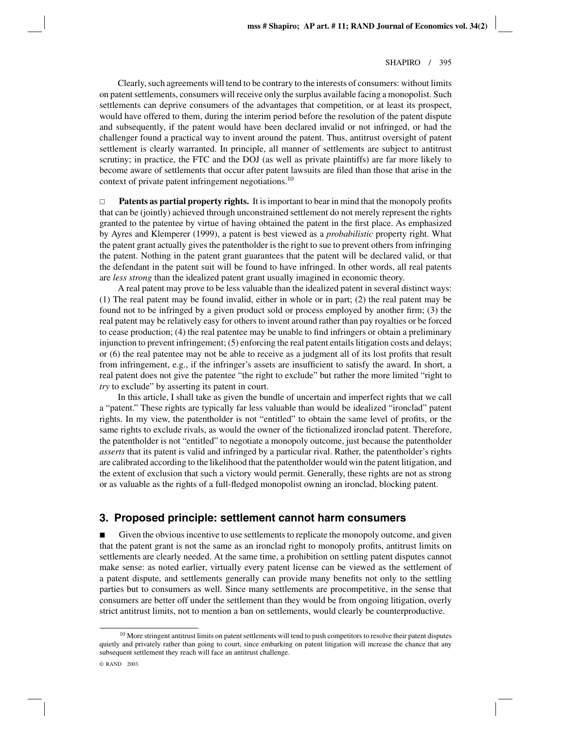Clearly, such agreements will tend to be contrary to the interests of consumers: without limits on patent settlements, consumers will receive only the surplus available facing a monopolist. Such settlements can deprive consumers of the advantages that competition, or at least its prospect, would have offered to them, during the interim period before the resolution of the patent dispute and subsequently, if the patent would have been declared invalid or not infringed, or had the challenger found a practical way to invent around the patent. Thus, antitrust oversight of patent settlement is clearly warranted. In principle, all manner of settlements are subject to antitrust scrutiny; in practice, the FTC and the DOJ (as well as private plaintiffs) are far more likely to become aware of settlements that occur after patent lawsuits are filed than those that arise in the context of private patent infringement negotiations.<sup>10</sup>

 $\Box$  **Patents as partial property rights.** It is important to bear in mind that the monopoly profits that can be (jointly) achieved through unconstrained settlement do not merely represent the rights granted to the patentee by virtue of having obtained the patent in the first place. As emphasized by Ayres and Klemperer (1999), a patent is best viewed as a *probabilistic* property right. What the patent grant actually gives the patentholder is the right to sue to prevent others from infringing the patent. Nothing in the patent grant guarantees that the patent will be declared valid, or that the defendant in the patent suit will be found to have infringed. In other words, all real patents are *less strong* than the idealized patent grant usually imagined in economic theory.

A real patent may prove to be less valuable than the idealized patent in several distinct ways: (1) The real patent may be found invalid, either in whole or in part; (2) the real patent may be found not to be infringed by a given product sold or process employed by another firm; (3) the real patent may be relatively easy for others to invent around rather than pay royalties or be forced to cease production; (4) the real patentee may be unable to find infringers or obtain a preliminary injunction to prevent infringement; (5) enforcing the real patent entails litigation costs and delays; or (6) the real patentee may not be able to receive as a judgment all of its lost profits that result from infringement, e.g., if the infringer's assets are insufficient to satisfy the award. In short, a real patent does not give the patentee "the right to exclude" but rather the more limited "right to *try* to exclude" by asserting its patent in court.

In this article, I shall take as given the bundle of uncertain and imperfect rights that we call a "patent." These rights are typically far less valuable than would be idealized "ironclad" patent rights. In my view, the patentholder is not "entitled" to obtain the same level of profits, or the same rights to exclude rivals, as would the owner of the fictionalized ironclad patent. Therefore, the patentholder is not "entitled" to negotiate a monopoly outcome, just because the patentholder *asserts* that its patent is valid and infringed by a particular rival. Rather, the patentholder's rights are calibrated according to the likelihood that the patentholder would win the patent litigation, and the extent of exclusion that such a victory would permit. Generally, these rights are not as strong or as valuable as the rights of a full-fledged monopolist owning an ironclad, blocking patent.

## **3. Proposed principle: settlement cannot harm consumers**

 Given the obvious incentive to use settlements to replicate the monopoly outcome, and given that the patent grant is not the same as an ironclad right to monopoly profits, antitrust limits on settlements are clearly needed. At the same time, a prohibition on settling patent disputes cannot make sense: as noted earlier, virtually every patent license can be viewed as the settlement of a patent dispute, and settlements generally can provide many benefits not only to the settling parties but to consumers as well. Since many settlements are procompetitive, in the sense that consumers are better off under the settlement than they would be from ongoing litigation, overly strict antitrust limits, not to mention a ban on settlements, would clearly be counterproductive.

<sup>&</sup>lt;sup>10</sup> More stringent antitrust limits on patent settlements will tend to push competitors to resolve their patent disputes quietly and privately rather than going to court, since embarking on patent litigation will increase the chance that any subsequent settlement they reach will face an antitrust challenge.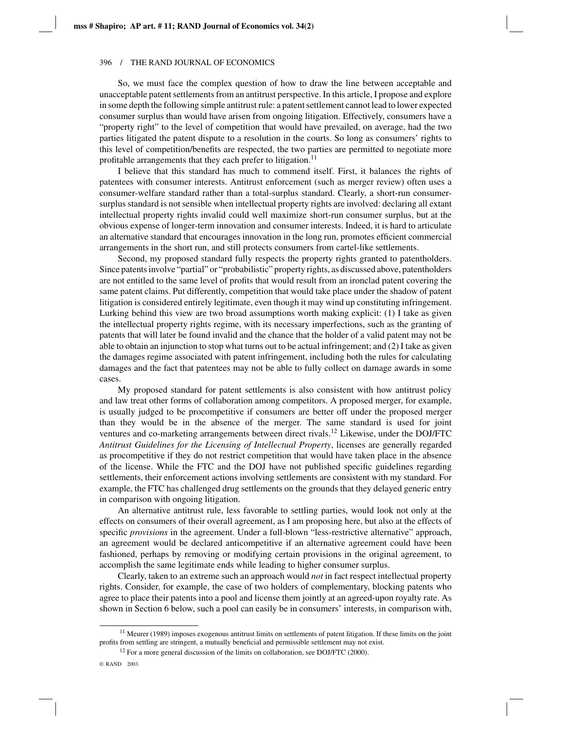So, we must face the complex question of how to draw the line between acceptable and unacceptable patent settlements from an antitrust perspective. In this article, I propose and explore in some depth the following simple antitrust rule: a patent settlement cannot lead to lower expected consumer surplus than would have arisen from ongoing litigation. Effectively, consumers have a "property right" to the level of competition that would have prevailed, on average, had the two parties litigated the patent dispute to a resolution in the courts. So long as consumers' rights to this level of competition/benefits are respected, the two parties are permitted to negotiate more profitable arrangements that they each prefer to litigation.<sup>11</sup>

I believe that this standard has much to commend itself. First, it balances the rights of patentees with consumer interests. Antitrust enforcement (such as merger review) often uses a consumer-welfare standard rather than a total-surplus standard. Clearly, a short-run consumersurplus standard is not sensible when intellectual property rights are involved: declaring all extant intellectual property rights invalid could well maximize short-run consumer surplus, but at the obvious expense of longer-term innovation and consumer interests. Indeed, it is hard to articulate an alternative standard that encourages innovation in the long run, promotes efficient commercial arrangements in the short run, and still protects consumers from cartel-like settlements.

Second, my proposed standard fully respects the property rights granted to patentholders. Since patents involve "partial" or "probabilistic" property rights, as discussed above, patentholders are not entitled to the same level of profits that would result from an ironclad patent covering the same patent claims. Put differently, competition that would take place under the shadow of patent litigation is considered entirely legitimate, even though it may wind up constituting infringement. Lurking behind this view are two broad assumptions worth making explicit: (1) I take as given the intellectual property rights regime, with its necessary imperfections, such as the granting of patents that will later be found invalid and the chance that the holder of a valid patent may not be able to obtain an injunction to stop what turns out to be actual infringement; and (2) I take as given the damages regime associated with patent infringement, including both the rules for calculating damages and the fact that patentees may not be able to fully collect on damage awards in some cases.

My proposed standard for patent settlements is also consistent with how antitrust policy and law treat other forms of collaboration among competitors. A proposed merger, for example, is usually judged to be procompetitive if consumers are better off under the proposed merger than they would be in the absence of the merger. The same standard is used for joint ventures and co-marketing arrangements between direct rivals.<sup>12</sup> Likewise, under the DOJ/FTC *Antitrust Guidelines for the Licensing of Intellectual Property*, licenses are generally regarded as procompetitive if they do not restrict competition that would have taken place in the absence of the license. While the FTC and the DOJ have not published specific guidelines regarding settlements, their enforcement actions involving settlements are consistent with my standard. For example, the FTC has challenged drug settlements on the grounds that they delayed generic entry in comparison with ongoing litigation.

An alternative antitrust rule, less favorable to settling parties, would look not only at the effects on consumers of their overall agreement, as I am proposing here, but also at the effects of specific *provisions* in the agreement. Under a full-blown "less-restrictive alternative" approach, an agreement would be declared anticompetitive if an alternative agreement could have been fashioned, perhaps by removing or modifying certain provisions in the original agreement, to accomplish the same legitimate ends while leading to higher consumer surplus.

Clearly, taken to an extreme such an approach would *not* in fact respect intellectual property rights. Consider, for example, the case of two holders of complementary, blocking patents who agree to place their patents into a pool and license them jointly at an agreed-upon royalty rate. As shown in Section 6 below, such a pool can easily be in consumers' interests, in comparison with,

 $11$  Meurer (1989) imposes exogenous antitrust limits on settlements of patent litigation. If these limits on the joint profits from settling are stringent, a mutually beneficial and permissible settlement may not exist.

 $12$  For a more general discussion of the limits on collaboration, see DOJ/FTC (2000).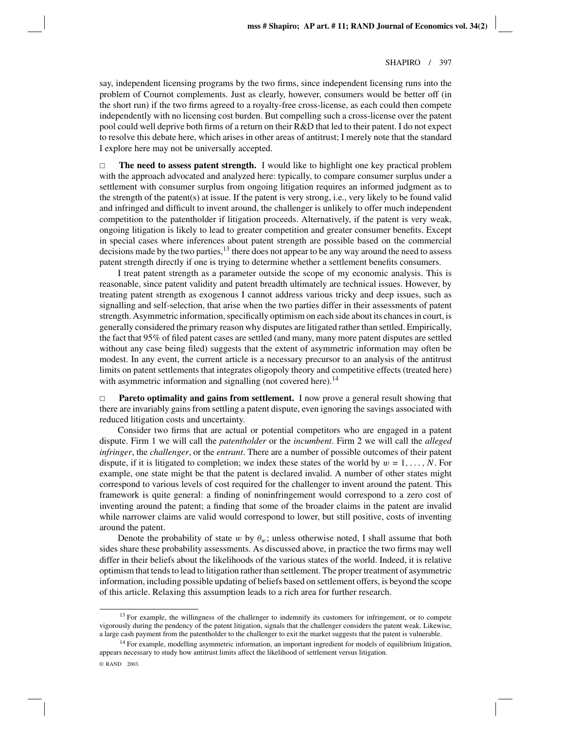say, independent licensing programs by the two firms, since independent licensing runs into the problem of Cournot complements. Just as clearly, however, consumers would be better off (in the short run) if the two firms agreed to a royalty-free cross-license, as each could then compete independently with no licensing cost burden. But compelling such a cross-license over the patent pool could well deprive both firms of a return on their R&D that led to their patent. I do not expect to resolve this debate here, which arises in other areas of antitrust; I merely note that the standard I explore here may not be universally accepted.

 $\Box$  **The need to assess patent strength.** I would like to highlight one key practical problem with the approach advocated and analyzed here: typically, to compare consumer surplus under a settlement with consumer surplus from ongoing litigation requires an informed judgment as to the strength of the patent(s) at issue. If the patent is very strong, i.e., very likely to be found valid and infringed and difficult to invent around, the challenger is unlikely to offer much independent competition to the patentholder if litigation proceeds. Alternatively, if the patent is very weak, ongoing litigation is likely to lead to greater competition and greater consumer benefits. Except in special cases where inferences about patent strength are possible based on the commercial decisions made by the two parties,<sup>13</sup> there does not appear to be any way around the need to assess patent strength directly if one is trying to determine whether a settlement benefits consumers.

I treat patent strength as a parameter outside the scope of my economic analysis. This is reasonable, since patent validity and patent breadth ultimately are technical issues. However, by treating patent strength as exogenous I cannot address various tricky and deep issues, such as signalling and self-selection, that arise when the two parties differ in their assessments of patent strength. Asymmetric information, specifically optimism on each side about its chances in court, is generally considered the primary reason why disputes are litigated rather than settled. Empirically, the fact that 95% of filed patent cases are settled (and many, many more patent disputes are settled without any case being filed) suggests that the extent of asymmetric information may often be modest. In any event, the current article is a necessary precursor to an analysis of the antitrust limits on patent settlements that integrates oligopoly theory and competitive effects (treated here) with asymmetric information and signalling (not covered here).<sup>14</sup>

 $\Box$  **Pareto optimality and gains from settlement.** I now prove a general result showing that there are invariably gains from settling a patent dispute, even ignoring the savings associated with reduced litigation costs and uncertainty.

Consider two firms that are actual or potential competitors who are engaged in a patent dispute. Firm 1 we will call the *patentholder* or the *incumbent*. Firm 2 we will call the *alleged infringer*, the *challenger*, or the *entrant*. There are a number of possible outcomes of their patent dispute, if it is litigated to completion; we index these states of the world by  $w = 1, \ldots, N$ . For example, one state might be that the patent is declared invalid. A number of other states might correspond to various levels of cost required for the challenger to invent around the patent. This framework is quite general: a finding of noninfringement would correspond to a zero cost of inventing around the patent; a finding that some of the broader claims in the patent are invalid while narrower claims are valid would correspond to lower, but still positive, costs of inventing around the patent.

Denote the probability of state w by  $\theta_w$ ; unless otherwise noted, I shall assume that both sides share these probability assessments. As discussed above, in practice the two firms may well differ in their beliefs about the likelihoods of the various states of the world. Indeed, it is relative optimism that tends to lead to litigation rather than settlement. The proper treatment of asymmetric information, including possible updating of beliefs based on settlement offers, is beyond the scope of this article. Relaxing this assumption leads to a rich area for further research.

<sup>&</sup>lt;sup>13</sup> For example, the willingness of the challenger to indemnify its customers for infringement, or to compete vigorously during the pendency of the patent litigation, signals that the challenger considers the patent weak. Likewise, a large cash payment from the patentholder to the challenger to exit the market suggests that the patent is vulnerable.

<sup>&</sup>lt;sup>14</sup> For example, modelling asymmetric information, an important ingredient for models of equilibrium litigation, appears necessary to study how antitrust limits affect the likelihood of settlement versus litigation.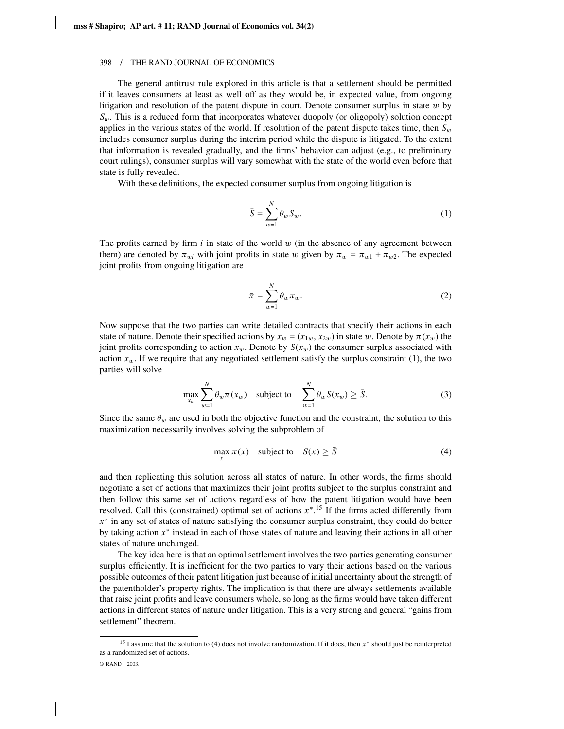The general antitrust rule explored in this article is that a settlement should be permitted if it leaves consumers at least as well off as they would be, in expected value, from ongoing litigation and resolution of the patent dispute in court. Denote consumer surplus in state  $w$  by *S*w. This is a reduced form that incorporates whatever duopoly (or oligopoly) solution concept applies in the various states of the world. If resolution of the patent dispute takes time, then  $S_w$ includes consumer surplus during the interim period while the dispute is litigated. To the extent that information is revealed gradually, and the firms' behavior can adjust (e.g., to preliminary court rulings), consumer surplus will vary somewhat with the state of the world even before that state is fully revealed.

With these definitions, the expected consumer surplus from ongoing litigation is

$$
\bar{S} = \sum_{w=1}^{N} \theta_w S_w.
$$
 (1)

The profits earned by firm  $i$  in state of the world  $w$  (in the absence of any agreement between them) are denoted by  $\pi_{wi}$  with joint profits in state w given by  $\pi_w = \pi_{w1} + \pi_{w2}$ . The expected joint profits from ongoing litigation are

$$
\bar{\pi} = \sum_{w=1}^{N} \theta_w \pi_w.
$$
\n(2)

Now suppose that the two parties can write detailed contracts that specify their actions in each state of nature. Denote their specified actions by  $x_w = (x_{1w}, x_{2w})$  in state w. Denote by  $\pi(x_w)$  the joint profits corresponding to action  $x_w$ . Denote by  $S(x_w)$  the consumer surplus associated with action  $x_w$ . If we require that any negotiated settlement satisfy the surplus constraint (1), the two parties will solve

$$
\max_{x_w} \sum_{w=1}^{N} \theta_w \pi(x_w) \quad \text{subject to} \quad \sum_{w=1}^{N} \theta_w S(x_w) \ge \bar{S}.
$$
 (3)

Since the same  $\theta_w$  are used in both the objective function and the constraint, the solution to this maximization necessarily involves solving the subproblem of

$$
\max_{x} \pi(x) \quad \text{subject to} \quad S(x) \ge \bar{S} \tag{4}
$$

and then replicating this solution across all states of nature. In other words, the firms should negotiate a set of actions that maximizes their joint profits subject to the surplus constraint and then follow this same set of actions regardless of how the patent litigation would have been resolved. Call this (constrained) optimal set of actions *x*∗. <sup>15</sup> If the firms acted differently from *x*<sup>∗</sup> in any set of states of nature satisfying the consumer surplus constraint, they could do better by taking action *x*<sup>∗</sup> instead in each of those states of nature and leaving their actions in all other states of nature unchanged.

The key idea here is that an optimal settlement involves the two parties generating consumer surplus efficiently. It is inefficient for the two parties to vary their actions based on the various possible outcomes of their patent litigation just because of initial uncertainty about the strength of the patentholder's property rights. The implication is that there are always settlements available that raise joint profits and leave consumers whole, so long as the firms would have taken different actions in different states of nature under litigation. This is a very strong and general "gains from settlement" theorem.

<sup>15</sup> I assume that the solution to (4) does not involve randomization. If it does, then *x*<sup>∗</sup> should just be reinterpreted as a randomized set of actions.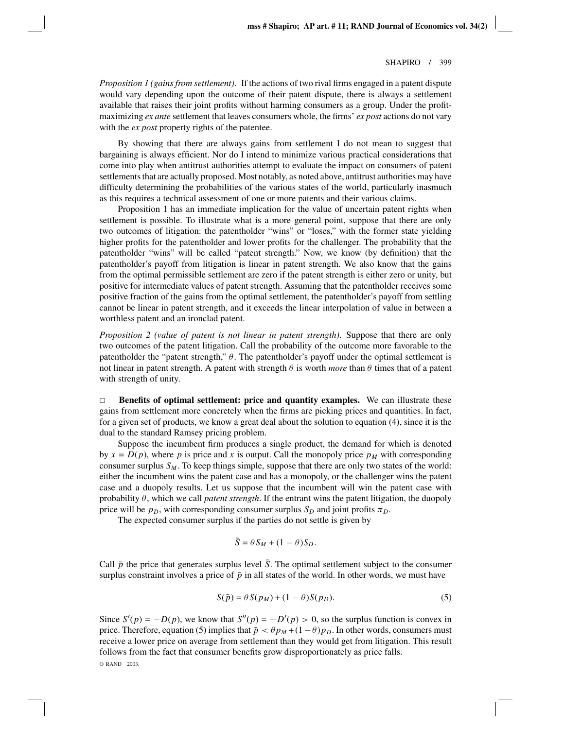*Proposition 1 (gains from settlement)*. If the actions of two rival firms engaged in a patent dispute would vary depending upon the outcome of their patent dispute, there is always a settlement available that raises their joint profits without harming consumers as a group. Under the profitmaximizing *ex ante* settlement that leaves consumers whole, the firms' *ex post* actions do not vary with the *ex post* property rights of the patentee.

By showing that there are always gains from settlement I do not mean to suggest that bargaining is always efficient. Nor do I intend to minimize various practical considerations that come into play when antitrust authorities attempt to evaluate the impact on consumers of patent settlements that are actually proposed. Most notably, as noted above, antitrust authorities may have difficulty determining the probabilities of the various states of the world, particularly inasmuch as this requires a technical assessment of one or more patents and their various claims.

Proposition 1 has an immediate implication for the value of uncertain patent rights when settlement is possible. To illustrate what is a more general point, suppose that there are only two outcomes of litigation: the patentholder "wins" or "loses," with the former state yielding higher profits for the patentholder and lower profits for the challenger. The probability that the patentholder "wins" will be called "patent strength." Now, we know (by definition) that the patentholder's payoff from litigation is linear in patent strength. We also know that the gains from the optimal permissible settlement are zero if the patent strength is either zero or unity, but positive for intermediate values of patent strength. Assuming that the patentholder receives some positive fraction of the gains from the optimal settlement, the patentholder's payoff from settling cannot be linear in patent strength, and it exceeds the linear interpolation of value in between a worthless patent and an ironclad patent.

*Proposition 2 (value of patent is not linear in patent strength)*. Suppose that there are only two outcomes of the patent litigation. Call the probability of the outcome more favorable to the patentholder the "patent strength,"  $\theta$ . The patentholder's payoff under the optimal settlement is not linear in patent strength. A patent with strength  $\theta$  is worth *more* than  $\theta$  times that of a patent with strength of unity.

 $\Box$  **Benefits of optimal settlement: price and quantity examples.** We can illustrate these gains from settlement more concretely when the firms are picking prices and quantities. In fact, for a given set of products, we know a great deal about the solution to equation (4), since it is the dual to the standard Ramsey pricing problem.

Suppose the incumbent firm produces a single product, the demand for which is denoted by  $x = D(p)$ , where p is price and x is output. Call the monopoly price  $p<sub>M</sub>$  with corresponding consumer surplus  $S_M$ . To keep things simple, suppose that there are only two states of the world: either the incumbent wins the patent case and has a monopoly, or the challenger wins the patent case and a duopoly results. Let us suppose that the incumbent will win the patent case with probability θ, which we call *patent strength*. If the entrant wins the patent litigation, the duopoly price will be  $p_D$ , with corresponding consumer surplus  $S_D$  and joint profits  $\pi_D$ .

The expected consumer surplus if the parties do not settle is given by

$$
\bar{S} = \theta S_M + (1 - \theta) S_D.
$$

Call  $\bar{p}$  the price that generates surplus level  $\bar{S}$ . The optimal settlement subject to the consumer surplus constraint involves a price of  $\bar{p}$  in all states of the world. In other words, we must have

$$
S(\bar{p}) = \theta S(p_M) + (1 - \theta)S(p_D). \tag{5}
$$

Since  $S'(p) = -D(p)$ , we know that  $S''(p) = -D'(p) > 0$ , so the surplus function is convex in price. Therefore, equation (5) implies that  $\bar{p} < \theta p_M + (1 - \theta)p_D$ . In other words, consumers must receive a lower price on average from settlement than they would get from litigation. This result follows from the fact that consumer benefits grow disproportionately as price falls. © RAND 2003.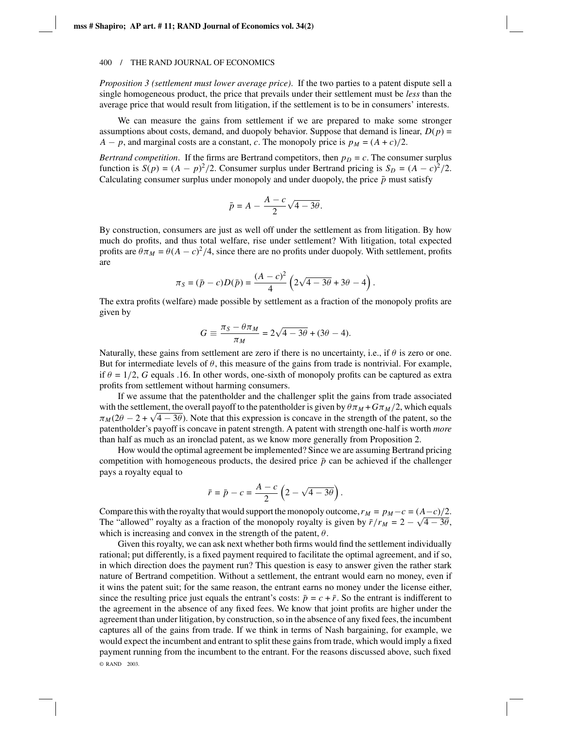*Proposition 3 (settlement must lower average price)*. If the two parties to a patent dispute sell a single homogeneous product, the price that prevails under their settlement must be *less* than the average price that would result from litigation, if the settlement is to be in consumers' interests.

We can measure the gains from settlement if we are prepared to make some stronger assumptions about costs, demand, and duopoly behavior. Suppose that demand is linear,  $D(p)$  = *A* − *p*, and marginal costs are a constant, *c*. The monopoly price is  $p_M = (A + c)/2$ .

*Bertrand competition*. If the firms are Bertrand competitors, then  $p<sub>D</sub> = c$ . The consumer surplus function is  $S(p) = (A - p)^2/2$ . Consumer surplus under Bertrand pricing is  $S_D = (A - c)^2/2$ . Calculating consumer surplus under monopoly and under duopoly, the price  $\bar{p}$  must satisfy

$$
\bar{p} = A - \frac{A - c}{2} \sqrt{4 - 3\theta}.
$$

By construction, consumers are just as well off under the settlement as from litigation. By how much do profits, and thus total welfare, rise under settlement? With litigation, total expected profits are  $\theta \pi_M = \theta (A - c)^2 / 4$ , since there are no profits under duopoly. With settlement, profits are

$$
\pi_S = (\bar{p} - c)D(\bar{p}) = \frac{(A - c)^2}{4} \left(2\sqrt{4 - 3\theta} + 3\theta - 4\right).
$$

The extra profits (welfare) made possible by settlement as a fraction of the monopoly profits are given by

$$
G \equiv \frac{\pi_S - \theta \pi_M}{\pi_M} = 2\sqrt{4 - 3\theta} + (3\theta - 4).
$$

Naturally, these gains from settlement are zero if there is no uncertainty, i.e., if  $\theta$  is zero or one. But for intermediate levels of  $\theta$ , this measure of the gains from trade is nontrivial. For example, if  $\theta = 1/2$ , *G* equals .16. In other words, one-sixth of monopoly profits can be captured as extra profits from settlement without harming consumers.

If we assume that the patentholder and the challenger split the gains from trade associated with the settlement, the overall payoff to the patentholder is given by  $\theta \pi_M + G \pi_M/2$ , which equals  $\pi_M(2\theta - 2 + \sqrt{4 - 3\theta})$ . Note that this expression is concave in the strength of the patent, so the patentholder's payoff is concave in patent strength. A patent with strength one-half is worth *more* than half as much as an ironclad patent, as we know more generally from Proposition 2.

How would the optimal agreement be implemented? Since we are assuming Bertrand pricing competition with homogeneous products, the desired price  $\bar{p}$  can be achieved if the challenger pays a royalty equal to

$$
\bar{r} = \bar{p} - c = \frac{A - c}{2} \left( 2 - \sqrt{4 - 3\theta} \right).
$$

Compare this with the royalty that would support the monopoly outcome,  $r_M = p_M - c = (A - c)/2$ . The "allowed" royalty as a fraction of the monopoly royalty is given by  $\bar{r}/r_M = 2 - \sqrt{4 - 3\theta}$ , which is increasing and convex in the strength of the patent,  $\theta$ .

Given this royalty, we can ask next whether both firms would find the settlement individually rational; put differently, is a fixed payment required to facilitate the optimal agreement, and if so, in which direction does the payment run? This question is easy to answer given the rather stark nature of Bertrand competition. Without a settlement, the entrant would earn no money, even if it wins the patent suit; for the same reason, the entrant earns no money under the license either, since the resulting price just equals the entrant's costs:  $\bar{p} = c + \bar{r}$ . So the entrant is indifferent to the agreement in the absence of any fixed fees. We know that joint profits are higher under the agreement than under litigation, by construction, so in the absence of any fixed fees, the incumbent captures all of the gains from trade. If we think in terms of Nash bargaining, for example, we would expect the incumbent and entrant to split these gains from trade, which would imply a fixed payment running from the incumbent to the entrant. For the reasons discussed above, such fixed © RAND 2003.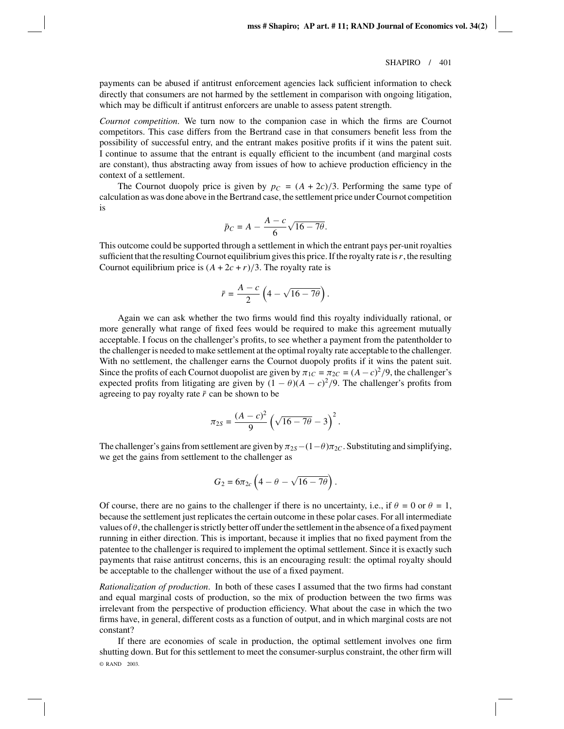payments can be abused if antitrust enforcement agencies lack sufficient information to check directly that consumers are not harmed by the settlement in comparison with ongoing litigation, which may be difficult if antitrust enforcers are unable to assess patent strength.

*Cournot competition*. We turn now to the companion case in which the firms are Cournot competitors. This case differs from the Bertrand case in that consumers benefit less from the possibility of successful entry, and the entrant makes positive profits if it wins the patent suit. I continue to assume that the entrant is equally efficient to the incumbent (and marginal costs are constant), thus abstracting away from issues of how to achieve production efficiency in the context of a settlement.

The Cournot duopoly price is given by  $p_C = (A + 2c)/3$ . Performing the same type of calculation as was done above in the Bertrand case, the settlement price under Cournot competition is

$$
\bar{p}_C = A - \frac{A - c}{6} \sqrt{16 - 7\theta}.
$$

This outcome could be supported through a settlement in which the entrant pays per-unit royalties sufficient that the resulting Cournot equilibrium gives this price. If the royalty rate is*r*, the resulting Cournot equilibrium price is  $(A + 2c + r)/3$ . The royalty rate is

$$
\bar{r} = \frac{A-c}{2} \left( 4 - \sqrt{16 - 7\theta} \right).
$$

Again we can ask whether the two firms would find this royalty individually rational, or more generally what range of fixed fees would be required to make this agreement mutually acceptable. I focus on the challenger's profits, to see whether a payment from the patentholder to the challenger is needed to make settlement at the optimal royalty rate acceptable to the challenger. With no settlement, the challenger earns the Cournot duopoly profits if it wins the patent suit. Since the profits of each Cournot duopolist are given by  $\pi_{1C} = \pi_{2C} = (A - c)^2/9$ , the challenger's expected profits from litigating are given by  $(1 - \theta)(A - c)^2/9$ . The challenger's profits from agreeing to pay royalty rate  $\bar{r}$  can be shown to be

$$
\pi_{2S} = \frac{(A-c)^2}{9} \left(\sqrt{16-7\theta}-3\right)^2.
$$

The challenger's gains from settlement are given by  $\pi_{2S}$  −(1– $\theta$ ) $\pi_{2C}$ . Substituting and simplifying, we get the gains from settlement to the challenger as

$$
G_2 = 6\pi_{2c} \left(4 - \theta - \sqrt{16 - 7\theta}\right).
$$

Of course, there are no gains to the challenger if there is no uncertainty, i.e., if  $\theta = 0$  or  $\theta = 1$ , because the settlement just replicates the certain outcome in these polar cases. For all intermediate values of  $\theta$ , the challenger is strictly better off under the settlement in the absence of a fixed payment running in either direction. This is important, because it implies that no fixed payment from the patentee to the challenger is required to implement the optimal settlement. Since it is exactly such payments that raise antitrust concerns, this is an encouraging result: the optimal royalty should be acceptable to the challenger without the use of a fixed payment.

*Rationalization of production*. In both of these cases I assumed that the two firms had constant and equal marginal costs of production, so the mix of production between the two firms was irrelevant from the perspective of production efficiency. What about the case in which the two firms have, in general, different costs as a function of output, and in which marginal costs are not constant?

If there are economies of scale in production, the optimal settlement involves one firm shutting down. But for this settlement to meet the consumer-surplus constraint, the other firm will © RAND 2003.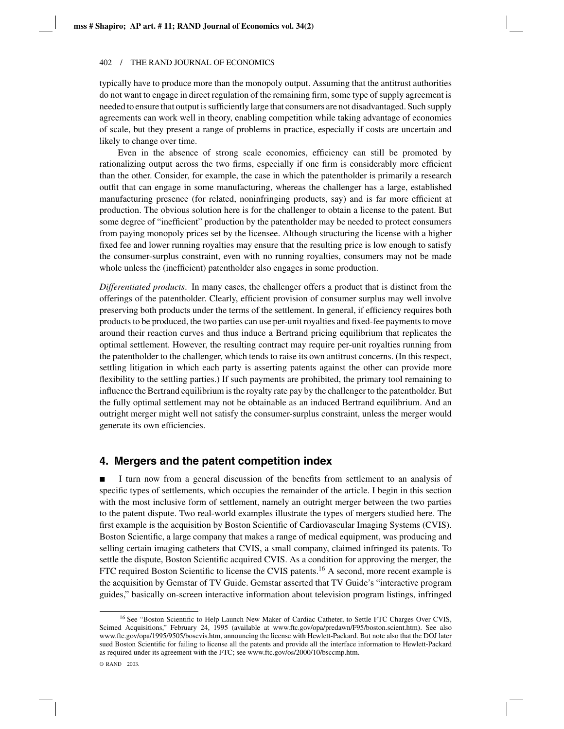typically have to produce more than the monopoly output. Assuming that the antitrust authorities do not want to engage in direct regulation of the remaining firm, some type of supply agreement is needed to ensure that output is sufficiently large that consumers are not disadvantaged. Such supply agreements can work well in theory, enabling competition while taking advantage of economies of scale, but they present a range of problems in practice, especially if costs are uncertain and likely to change over time.

Even in the absence of strong scale economies, efficiency can still be promoted by rationalizing output across the two firms, especially if one firm is considerably more efficient than the other. Consider, for example, the case in which the patentholder is primarily a research outfit that can engage in some manufacturing, whereas the challenger has a large, established manufacturing presence (for related, noninfringing products, say) and is far more efficient at production. The obvious solution here is for the challenger to obtain a license to the patent. But some degree of "inefficient" production by the patentholder may be needed to protect consumers from paying monopoly prices set by the licensee. Although structuring the license with a higher fixed fee and lower running royalties may ensure that the resulting price is low enough to satisfy the consumer-surplus constraint, even with no running royalties, consumers may not be made whole unless the (inefficient) patentholder also engages in some production.

*Differentiated products*. In many cases, the challenger offers a product that is distinct from the offerings of the patentholder. Clearly, efficient provision of consumer surplus may well involve preserving both products under the terms of the settlement. In general, if efficiency requires both products to be produced, the two parties can use per-unit royalties and fixed-fee payments to move around their reaction curves and thus induce a Bertrand pricing equilibrium that replicates the optimal settlement. However, the resulting contract may require per-unit royalties running from the patentholder to the challenger, which tends to raise its own antitrust concerns. (In this respect, settling litigation in which each party is asserting patents against the other can provide more flexibility to the settling parties.) If such payments are prohibited, the primary tool remaining to influence the Bertrand equilibrium is the royalty rate pay by the challenger to the patentholder. But the fully optimal settlement may not be obtainable as an induced Bertrand equilibrium. And an outright merger might well not satisfy the consumer-surplus constraint, unless the merger would generate its own efficiencies.

### **4. Mergers and the patent competition index**

 I turn now from a general discussion of the benefits from settlement to an analysis of specific types of settlements, which occupies the remainder of the article. I begin in this section with the most inclusive form of settlement, namely an outright merger between the two parties to the patent dispute. Two real-world examples illustrate the types of mergers studied here. The first example is the acquisition by Boston Scientific of Cardiovascular Imaging Systems (CVIS). Boston Scientific, a large company that makes a range of medical equipment, was producing and selling certain imaging catheters that CVIS, a small company, claimed infringed its patents. To settle the dispute, Boston Scientific acquired CVIS. As a condition for approving the merger, the FTC required Boston Scientific to license the CVIS patents.<sup>16</sup> A second, more recent example is the acquisition by Gemstar of TV Guide. Gemstar asserted that TV Guide's "interactive program guides," basically on-screen interactive information about television program listings, infringed

<sup>&</sup>lt;sup>16</sup> See "Boston Scientific to Help Launch New Maker of Cardiac Catheter, to Settle FTC Charges Over CVIS, Scimed Acquisitions," February 24, 1995 (available at www.ftc.gov/opa/predawn/F95/boston.scient.htm). See also www.ftc.gov/opa/1995/9505/boscvis.htm, announcing the license with Hewlett-Packard. But note also that the DOJ later sued Boston Scientific for failing to license all the patents and provide all the interface information to Hewlett-Packard as required under its agreement with the FTC; see www.ftc.gov/os/2000/10/bsccmp.htm.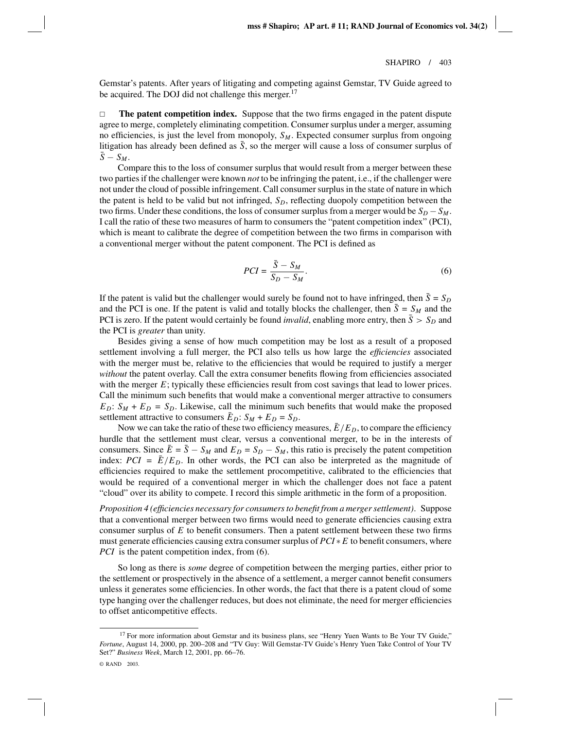Gemstar's patents. After years of litigating and competing against Gemstar, TV Guide agreed to be acquired. The DOJ did not challenge this merger.<sup>17</sup>

 $\Box$  **The patent competition index.** Suppose that the two firms engaged in the patent dispute agree to merge, completely eliminating competition. Consumer surplus under a merger, assuming no efficiencies, is just the level from monopoly,  $S_M$ . Expected consumer surplus from ongoing litigation has already been defined as  $\bar{S}$ , so the merger will cause a loss of consumer surplus of  $\bar{S}-S_M$ .

Compare this to the loss of consumer surplus that would result from a merger between these two parties if the challenger were known *not* to be infringing the patent, i.e., if the challenger were not under the cloud of possible infringement. Call consumer surplus in the state of nature in which the patent is held to be valid but not infringed,  $S<sub>D</sub>$ , reflecting duopoly competition between the two firms. Under these conditions, the loss of consumer surplus from a merger would be  $S_D - S_M$ . I call the ratio of these two measures of harm to consumers the "patent competition index" (PCI), which is meant to calibrate the degree of competition between the two firms in comparison with a conventional merger without the patent component. The PCI is defined as

$$
PCI = \frac{\bar{S} - S_M}{S_D - S_M}.\tag{6}
$$

If the patent is valid but the challenger would surely be found not to have infringed, then  $\bar{S} = S_D$ and the PCI is one. If the patent is valid and totally blocks the challenger, then  $\bar{S} = S_M$  and the PCI is zero. If the patent would certainly be found *invalid*, enabling more entry, then  $\bar{S} > S_D$  and the PCI is *greater* than unity.

Besides giving a sense of how much competition may be lost as a result of a proposed settlement involving a full merger, the PCI also tells us how large the *efficiencies* associated with the merger must be, relative to the efficiencies that would be required to justify a merger *without* the patent overlay. Call the extra consumer benefits flowing from efficiencies associated with the merger *E*; typically these efficiencies result from cost savings that lead to lower prices. Call the minimum such benefits that would make a conventional merger attractive to consumers  $E_D$ :  $S_M + E_D = S_D$ . Likewise, call the minimum such benefits that would make the proposed settlement attractive to consumers  $\bar{E}_D$ :  $S_M + E_D = S_D$ .

Now we can take the ratio of these two efficiency measures,  $\bar{E}/E_D$ , to compare the efficiency hurdle that the settlement must clear, versus a conventional merger, to be in the interests of consumers. Since  $\bar{E} = \bar{S} - S_M$  and  $E_D = S_D - S_M$ , this ratio is precisely the patent competition index:  $PCI = \overline{E}/E_D$ . In other words, the PCI can also be interpreted as the magnitude of efficiencies required to make the settlement procompetitive, calibrated to the efficiencies that would be required of a conventional merger in which the challenger does not face a patent "cloud" over its ability to compete. I record this simple arithmetic in the form of a proposition.

*Proposition 4 (efficiencies necessary for consumers to benefit from a merger settlement)*. Suppose that a conventional merger between two firms would need to generate efficiencies causing extra consumer surplus of *E* to benefit consumers. Then a patent settlement between these two firms must generate efficiencies causing extra consumer surplus of *PCI* ∗ *E* to benefit consumers, where *PCI* is the patent competition index, from (6).

So long as there is *some* degree of competition between the merging parties, either prior to the settlement or prospectively in the absence of a settlement, a merger cannot benefit consumers unless it generates some efficiencies. In other words, the fact that there is a patent cloud of some type hanging over the challenger reduces, but does not eliminate, the need for merger efficiencies to offset anticompetitive effects.

<sup>&</sup>lt;sup>17</sup> For more information about Gemstar and its business plans, see "Henry Yuen Wants to Be Your TV Guide," *Fortune*, August 14, 2000, pp. 200–208 and "TV Guy: Will Gemstar-TV Guide's Henry Yuen Take Control of Your TV Set?" *Business Week*, March 12, 2001, pp. 66–76.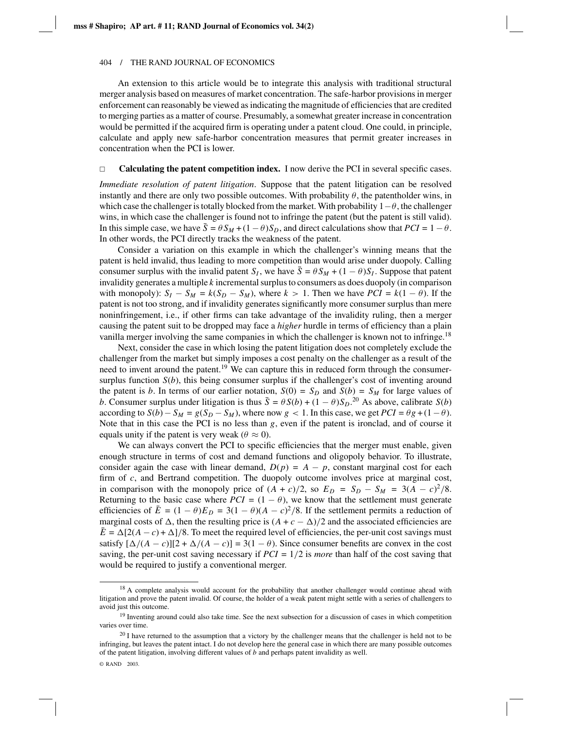An extension to this article would be to integrate this analysis with traditional structural merger analysis based on measures of market concentration. The safe-harbor provisions in merger enforcement can reasonably be viewed as indicating the magnitude of efficiencies that are credited to merging parties as a matter of course. Presumably, a somewhat greater increase in concentration would be permitted if the acquired firm is operating under a patent cloud. One could, in principle, calculate and apply new safe-harbor concentration measures that permit greater increases in concentration when the PCI is lower.

#### $\Box$ **Calculating the patent competition index.** I now derive the PCI in several specific cases.

*Immediate resolution of patent litigation*. Suppose that the patent litigation can be resolved instantly and there are only two possible outcomes. With probability  $\theta$ , the patentholder wins, in which case the challenger is totally blocked from the market. With probability  $1-\theta$ , the challenger wins, in which case the challenger is found not to infringe the patent (but the patent is still valid). In this simple case, we have  $\bar{S} = \theta S_M + (1 - \theta) S_D$ , and direct calculations show that  $PCI = 1 - \theta$ . In other words, the PCI directly tracks the weakness of the patent.

Consider a variation on this example in which the challenger's winning means that the patent is held invalid, thus leading to more competition than would arise under duopoly. Calling consumer surplus with the invalid patent *S<sub>I</sub>*, we have  $\bar{S} = \theta S_M + (1 - \theta) S_I$ . Suppose that patent invalidity generates a multiple *k* incremental surplus to consumers as does duopoly (in comparison with monopoly):  $S_I - S_M = k(S_D - S_M)$ , where  $k > 1$ . Then we have  $PCI = k(1 - \theta)$ . If the patent is not too strong, and if invalidity generates significantly more consumer surplus than mere noninfringement, i.e., if other firms can take advantage of the invalidity ruling, then a merger causing the patent suit to be dropped may face a *higher* hurdle in terms of efficiency than a plain vanilla merger involving the same companies in which the challenger is known not to infringe.<sup>18</sup>

Next, consider the case in which losing the patent litigation does not completely exclude the challenger from the market but simply imposes a cost penalty on the challenger as a result of the need to invent around the patent.<sup>19</sup> We can capture this in reduced form through the consumersurplus function  $S(b)$ , this being consumer surplus if the challenger's cost of inventing around the patent is *b*. In terms of our earlier notation,  $S(0) = S_D$  and  $S(b) = S_M$  for large values of *b*. Consumer surplus under litigation is thus  $\bar{S} = \theta S(b) + (1 - \theta)S_D$ .<sup>20</sup> As above, calibrate *S*(*b*) according to  $S(b) - S_M = g(S_D - S_M)$ , where now *g* < 1. In this case, we get  $PCI = \theta g + (1 - \theta)$ . Note that in this case the PCI is no less than *g*, even if the patent is ironclad, and of course it equals unity if the patent is very weak ( $\theta \approx 0$ ).

We can always convert the PCI to specific efficiencies that the merger must enable, given enough structure in terms of cost and demand functions and oligopoly behavior. To illustrate, consider again the case with linear demand,  $D(p) = A - p$ , constant marginal cost for each firm of *c*, and Bertrand competition. The duopoly outcome involves price at marginal cost, in comparison with the monopoly price of  $(A + c)/2$ , so  $E_D = S_D - S_M = 3(A - c)^2/8$ . Returning to the basic case where  $PCI = (1 - \theta)$ , we know that the settlement must generate efficiencies of  $\bar{E} = (1 - \theta)E_D = 3(1 - \theta)(A - c)^2/8$ . If the settlement permits a reduction of marginal costs of  $\Delta$ , then the resulting price is  $(A + c - \Delta)/2$  and the associated efficiencies are  $\bar{E} = \Delta[2(A-c)+\Delta]/8$ . To meet the required level of efficiencies, the per-unit cost savings must satisfy  $[\Delta/(A - c)][2 + \Delta/(A - c)] = 3(1 - \theta)$ . Since consumer benefits are convex in the cost saving, the per-unit cost saving necessary if *PCI* = 1/2 is *more* than half of the cost saving that would be required to justify a conventional merger.

<sup>&</sup>lt;sup>18</sup> A complete analysis would account for the probability that another challenger would continue ahead with litigation and prove the patent invalid. Of course, the holder of a weak patent might settle with a series of challengers to avoid just this outcome.

<sup>&</sup>lt;sup>19</sup> Inventing around could also take time. See the next subsection for a discussion of cases in which competition varies over time.

 $20$  I have returned to the assumption that a victory by the challenger means that the challenger is held not to be infringing, but leaves the patent intact. I do not develop here the general case in which there are many possible outcomes of the patent litigation, involving different values of *b* and perhaps patent invalidity as well.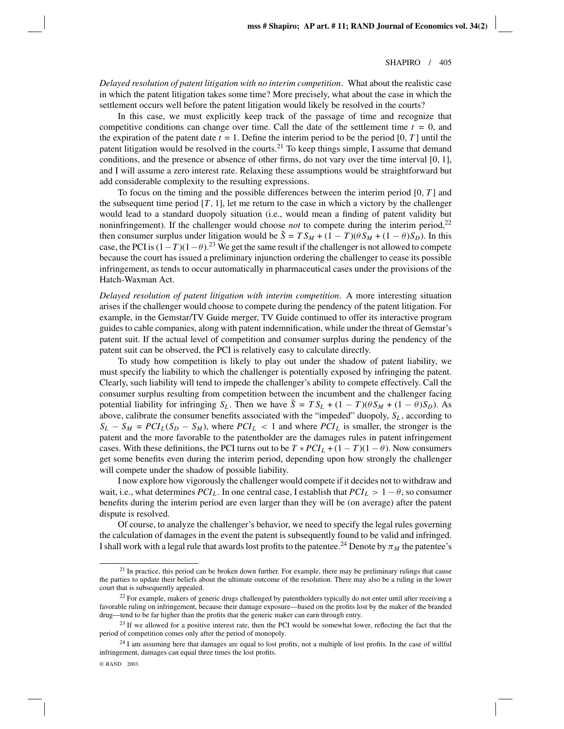*Delayed resolution of patent litigation with no interim competition*. What about the realistic case in which the patent litigation takes some time? More precisely, what about the case in which the settlement occurs well before the patent litigation would likely be resolved in the courts?

In this case, we must explicitly keep track of the passage of time and recognize that competitive conditions can change over time. Call the date of the settlement time  $t = 0$ , and the expiration of the patent date  $t = 1$ . Define the interim period to be the period [0, *T*] until the patent litigation would be resolved in the courts.<sup>21</sup> To keep things simple, I assume that demand conditions, and the presence or absence of other firms, do not vary over the time interval [0, 1], and I will assume a zero interest rate. Relaxing these assumptions would be straightforward but add considerable complexity to the resulting expressions.

To focus on the timing and the possible differences between the interim period [0, *T* ] and the subsequent time period  $[T, 1]$ , let me return to the case in which a victory by the challenger would lead to a standard duopoly situation (i.e., would mean a finding of patent validity but noninfringement). If the challenger would choose *not* to compete during the interim period,<sup>22</sup> then consumer surplus under litigation would be  $\bar{S} = TS_M + (1 - T)(\theta S_M + (1 - \theta)S_D)$ . In this case, the PCI is  $(1-T)(1-\theta)$ .<sup>23</sup> We get the same result if the challenger is not allowed to compete because the court has issued a preliminary injunction ordering the challenger to cease its possible infringement, as tends to occur automatically in pharmaceutical cases under the provisions of the Hatch-Waxman Act.

*Delayed resolution of patent litigation with interim competition*. A more interesting situation arises if the challenger would choose to compete during the pendency of the patent litigation. For example, in the Gemstar/TV Guide merger, TV Guide continued to offer its interactive program guides to cable companies, along with patent indemnification, while under the threat of Gemstar's patent suit. If the actual level of competition and consumer surplus during the pendency of the patent suit can be observed, the PCI is relatively easy to calculate directly.

To study how competition is likely to play out under the shadow of patent liability, we must specify the liability to which the challenger is potentially exposed by infringing the patent. Clearly, such liability will tend to impede the challenger's ability to compete effectively. Call the consumer surplus resulting from competition between the incumbent and the challenger facing potential liability for infringing  $S_L$ . Then we have  $\bar{S} = TS_L + (1 - T)(\theta S_M + (1 - \theta)S_D)$ . As above, calibrate the consumer benefits associated with the "impeded" duopoly,  $S_L$ , according to  $S_L - S_M = PCI_L(S_D - S_M)$ , where  $PCI_L < 1$  and where  $PCI_L$  is smaller, the stronger is the patent and the more favorable to the patentholder are the damages rules in patent infringement cases. With these definitions, the PCI turns out to be  $T * PCI_L + (1 - T)(1 - \theta)$ . Now consumers get some benefits even during the interim period, depending upon how strongly the challenger will compete under the shadow of possible liability.

I now explore how vigorously the challenger would compete if it decides not to withdraw and wait, i.e., what determines  $PCI_L$ . In one central case, I establish that  $PCI_L > 1 - \theta$ , so consumer benefits during the interim period are even larger than they will be (on average) after the patent dispute is resolved.

Of course, to analyze the challenger's behavior, we need to specify the legal rules governing the calculation of damages in the event the patent is subsequently found to be valid and infringed. I shall work with a legal rule that awards lost profits to the patentee.<sup>24</sup> Denote by  $\pi_M$  the patentee's

 $21$  In practice, this period can be broken down further. For example, there may be preliminary rulings that cause the parties to update their beliefs about the ultimate outcome of the resolution. There may also be a ruling in the lower court that is subsequently appealed.

<sup>&</sup>lt;sup>22</sup> For example, makers of generic drugs challenged by patentholders typically do not enter until after receiving a favorable ruling on infringement, because their damage exposure—based on the profits lost by the maker of the branded drug—tend to be far higher than the profits that the generic maker can earn through entry.

<sup>&</sup>lt;sup>23</sup> If we allowed for a positive interest rate, then the PCI would be somewhat lower, reflecting the fact that the period of competition comes only after the period of monopoly.

<sup>&</sup>lt;sup>24</sup> I am assuming here that damages are equal to lost profits, not a multiple of lost profits. In the case of willful infringement, damages can equal three times the lost profits.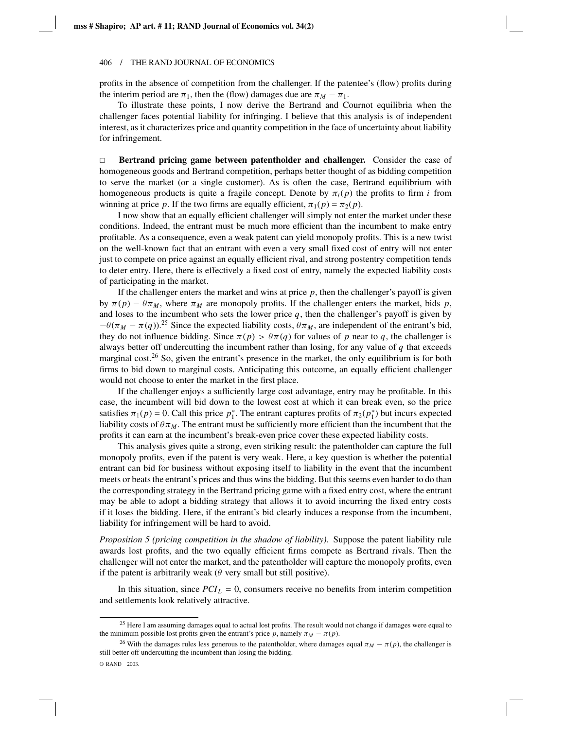profits in the absence of competition from the challenger. If the patentee's (flow) profits during the interim period are  $\pi_1$ , then the (flow) damages due are  $\pi_M - \pi_1$ .

To illustrate these points, I now derive the Bertrand and Cournot equilibria when the challenger faces potential liability for infringing. I believe that this analysis is of independent interest, as it characterizes price and quantity competition in the face of uncertainty about liability for infringement.

 $\Box$  **Bertrand pricing game between patentholder and challenger.** Consider the case of homogeneous goods and Bertrand competition, perhaps better thought of as bidding competition to serve the market (or a single customer). As is often the case, Bertrand equilibrium with homogeneous products is quite a fragile concept. Denote by  $\pi_i(p)$  the profits to firm *i* from winning at price *p*. If the two firms are equally efficient,  $\pi_1(p) = \pi_2(p)$ .

I now show that an equally efficient challenger will simply not enter the market under these conditions. Indeed, the entrant must be much more efficient than the incumbent to make entry profitable. As a consequence, even a weak patent can yield monopoly profits. This is a new twist on the well-known fact that an entrant with even a very small fixed cost of entry will not enter just to compete on price against an equally efficient rival, and strong postentry competition tends to deter entry. Here, there is effectively a fixed cost of entry, namely the expected liability costs of participating in the market.

If the challenger enters the market and wins at price  $p$ , then the challenger's payoff is given by  $\pi(p) - \theta \pi_M$ , where  $\pi_M$  are monopoly profits. If the challenger enters the market, bids *p*, and loses to the incumbent who sets the lower price  $q$ , then the challenger's payoff is given by  $-\theta(\pi_M - \pi(q))$ <sup>25</sup> Since the expected liability costs,  $\theta \pi_M$ , are independent of the entrant's bid, they do not influence bidding. Since  $\pi(p) > \theta \pi(q)$  for values of p near to q, the challenger is always better off undercutting the incumbent rather than losing, for any value of *q* that exceeds marginal cost.<sup>26</sup> So, given the entrant's presence in the market, the only equilibrium is for both firms to bid down to marginal costs. Anticipating this outcome, an equally efficient challenger would not choose to enter the market in the first place.

If the challenger enjoys a sufficiently large cost advantage, entry may be profitable. In this case, the incumbent will bid down to the lowest cost at which it can break even, so the price satisfies  $\pi_1(p) = 0$ . Call this price  $p_1^*$ . The entrant captures profits of  $\pi_2(p_1^*)$  but incurs expected liability costs of  $\theta \pi_M$ . The entrant must be sufficiently more efficient than the incumbent that the profits it can earn at the incumbent's break-even price cover these expected liability costs.

This analysis gives quite a strong, even striking result: the patentholder can capture the full monopoly profits, even if the patent is very weak. Here, a key question is whether the potential entrant can bid for business without exposing itself to liability in the event that the incumbent meets or beats the entrant's prices and thus wins the bidding. But this seems even harder to do than the corresponding strategy in the Bertrand pricing game with a fixed entry cost, where the entrant may be able to adopt a bidding strategy that allows it to avoid incurring the fixed entry costs if it loses the bidding. Here, if the entrant's bid clearly induces a response from the incumbent, liability for infringement will be hard to avoid.

*Proposition 5 (pricing competition in the shadow of liability)*. Suppose the patent liability rule awards lost profits, and the two equally efficient firms compete as Bertrand rivals. Then the challenger will not enter the market, and the patentholder will capture the monopoly profits, even if the patent is arbitrarily weak ( $\theta$  very small but still positive).

In this situation, since  $PCI_L = 0$ , consumers receive no benefits from interim competition and settlements look relatively attractive.

<sup>&</sup>lt;sup>25</sup> Here I am assuming damages equal to actual lost profits. The result would not change if damages were equal to the minimum possible lost profits given the entrant's price *p*, namely  $\pi_M - \pi(p)$ .

<sup>&</sup>lt;sup>26</sup> With the damages rules less generous to the patentholder, where damages equal  $\pi_M - \pi(p)$ , the challenger is still better off undercutting the incumbent than losing the bidding.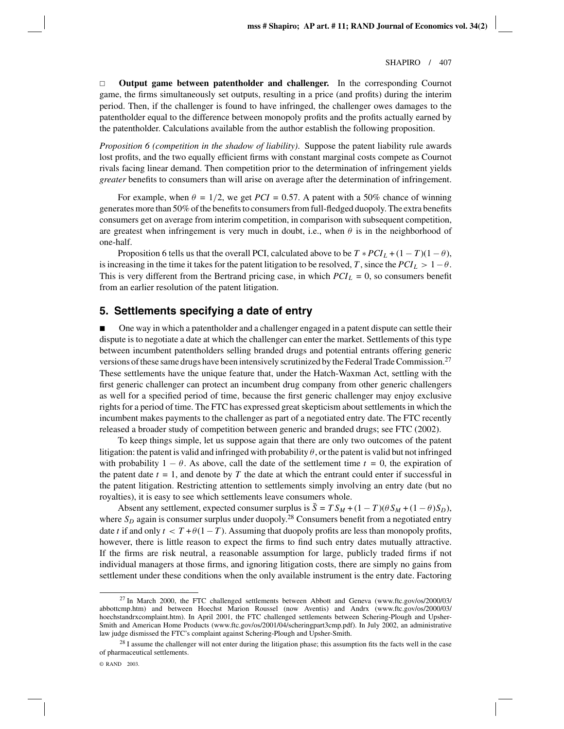$\Box$  **Output game between patentholder and challenger.** In the corresponding Cournot game, the firms simultaneously set outputs, resulting in a price (and profits) during the interim period. Then, if the challenger is found to have infringed, the challenger owes damages to the patentholder equal to the difference between monopoly profits and the profits actually earned by the patentholder. Calculations available from the author establish the following proposition.

*Proposition 6 (competition in the shadow of liability)*. Suppose the patent liability rule awards lost profits, and the two equally efficient firms with constant marginal costs compete as Cournot rivals facing linear demand. Then competition prior to the determination of infringement yields *greater* benefits to consumers than will arise on average after the determination of infringement.

For example, when  $\theta = 1/2$ , we get  $PCI = 0.57$ . A patent with a 50% chance of winning generates more than 50% of the benefits to consumers from full-fledged duopoly. The extra benefits consumers get on average from interim competition, in comparison with subsequent competition, are greatest when infringement is very much in doubt, i.e., when  $\theta$  is in the neighborhood of one-half.

Proposition 6 tells us that the overall PCI, calculated above to be  $T * PCI_L + (1 - T)(1 - \theta)$ , is increasing in the time it takes for the patent litigation to be resolved, *T*, since the  $PCI_L > 1-\theta$ . This is very different from the Bertrand pricing case, in which  $PCI_L = 0$ , so consumers benefit from an earlier resolution of the patent litigation.

### **5. Settlements specifying a date of entry**

 One way in which a patentholder and a challenger engaged in a patent dispute can settle their dispute is to negotiate a date at which the challenger can enter the market. Settlements of this type between incumbent patentholders selling branded drugs and potential entrants offering generic versions of these same drugs have been intensively scrutinized by the Federal Trade Commission.<sup>27</sup> These settlements have the unique feature that, under the Hatch-Waxman Act, settling with the first generic challenger can protect an incumbent drug company from other generic challengers as well for a specified period of time, because the first generic challenger may enjoy exclusive rights for a period of time. The FTC has expressed great skepticism about settlements in which the incumbent makes payments to the challenger as part of a negotiated entry date. The FTC recently released a broader study of competition between generic and branded drugs; see FTC (2002).

To keep things simple, let us suppose again that there are only two outcomes of the patent litigation: the patent is valid and infringed with probability  $\theta$ , or the patent is valid but not infringed with probability  $1 - \theta$ . As above, call the date of the settlement time  $t = 0$ , the expiration of the patent date  $t = 1$ , and denote by  $T$  the date at which the entrant could enter if successful in the patent litigation. Restricting attention to settlements simply involving an entry date (but no royalties), it is easy to see which settlements leave consumers whole.

Absent any settlement, expected consumer surplus is  $\bar{S} = TS_M + (1 - T)(\theta S_M + (1 - \theta)S_D)$ , where  $S_D$  again is consumer surplus under duopoly.<sup>28</sup> Consumers benefit from a negotiated entry date *t* if and only  $t < T + \theta(1 - T)$ . Assuming that duopoly profits are less than monopoly profits, however, there is little reason to expect the firms to find such entry dates mutually attractive. If the firms are risk neutral, a reasonable assumption for large, publicly traded firms if not individual managers at those firms, and ignoring litigation costs, there are simply no gains from settlement under these conditions when the only available instrument is the entry date. Factoring

<sup>&</sup>lt;sup>27</sup> In March 2000, the FTC challenged settlements between Abbott and Geneva (www.ftc.gov/os/2000/03/ abbottcmp.htm) and between Hoechst Marion Roussel (now Aventis) and Andrx (www.ftc.gov/os/2000/03/ hoechstandrxcomplaint.htm). In April 2001, the FTC challenged settlements between Schering-Plough and Upsher-Smith and American Home Products (www.ftc.gov/os/2001/04/scheringpart3cmp.pdf). In July 2002, an administrative law judge dismissed the FTC's complaint against Schering-Plough and Upsher-Smith.

<sup>&</sup>lt;sup>28</sup> I assume the challenger will not enter during the litigation phase; this assumption fits the facts well in the case of pharmaceutical settlements.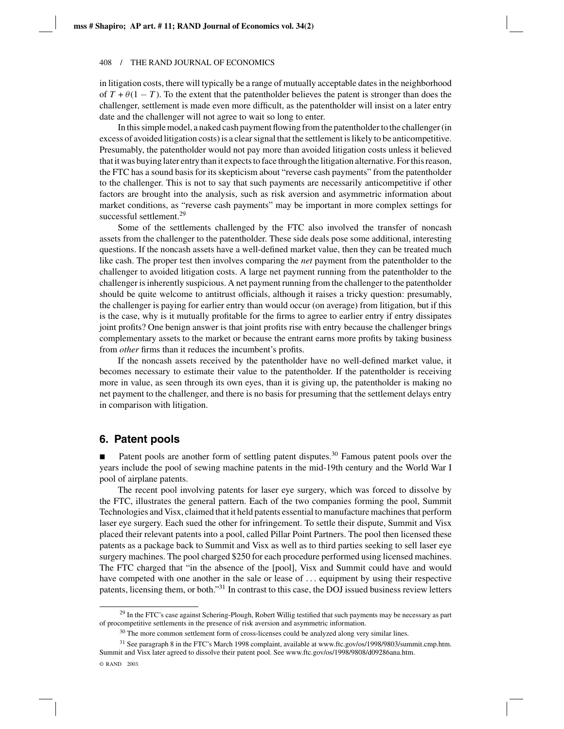in litigation costs, there will typically be a range of mutually acceptable dates in the neighborhood of  $T + \theta(1 - T)$ . To the extent that the patentholder believes the patent is stronger than does the challenger, settlement is made even more difficult, as the patentholder will insist on a later entry date and the challenger will not agree to wait so long to enter.

In this simple model, a naked cash payment flowing from the patentholder to the challenger (in excess of avoided litigation costs) is a clear signal that the settlement is likely to be anticompetitive. Presumably, the patentholder would not pay more than avoided litigation costs unless it believed that it was buying later entry than it expects to face through the litigation alternative. For this reason, the FTC has a sound basis for its skepticism about "reverse cash payments" from the patentholder to the challenger. This is not to say that such payments are necessarily anticompetitive if other factors are brought into the analysis, such as risk aversion and asymmetric information about market conditions, as "reverse cash payments" may be important in more complex settings for successful settlement.<sup>29</sup>

Some of the settlements challenged by the FTC also involved the transfer of noncash assets from the challenger to the patentholder. These side deals pose some additional, interesting questions. If the noncash assets have a well-defined market value, then they can be treated much like cash. The proper test then involves comparing the *net* payment from the patentholder to the challenger to avoided litigation costs. A large net payment running from the patentholder to the challenger is inherently suspicious. A net payment running from the challenger to the patentholder should be quite welcome to antitrust officials, although it raises a tricky question: presumably, the challenger is paying for earlier entry than would occur (on average) from litigation, but if this is the case, why is it mutually profitable for the firms to agree to earlier entry if entry dissipates joint profits? One benign answer is that joint profits rise with entry because the challenger brings complementary assets to the market or because the entrant earns more profits by taking business from *other* firms than it reduces the incumbent's profits.

If the noncash assets received by the patentholder have no well-defined market value, it becomes necessary to estimate their value to the patentholder. If the patentholder is receiving more in value, as seen through its own eyes, than it is giving up, the patentholder is making no net payment to the challenger, and there is no basis for presuming that the settlement delays entry in comparison with litigation.

### **6. Patent pools**

Patent pools are another form of settling patent disputes.<sup>30</sup> Famous patent pools over the years include the pool of sewing machine patents in the mid-19th century and the World War I pool of airplane patents.

The recent pool involving patents for laser eye surgery, which was forced to dissolve by the FTC, illustrates the general pattern. Each of the two companies forming the pool, Summit Technologies and Visx, claimed that it held patents essential to manufacture machines that perform laser eye surgery. Each sued the other for infringement. To settle their dispute, Summit and Visx placed their relevant patents into a pool, called Pillar Point Partners. The pool then licensed these patents as a package back to Summit and Visx as well as to third parties seeking to sell laser eye surgery machines. The pool charged \$250 for each procedure performed using licensed machines. The FTC charged that "in the absence of the [pool], Visx and Summit could have and would have competed with one another in the sale or lease of ... equipment by using their respective patents, licensing them, or both."31 In contrast to this case, the DOJ issued business review letters

 $29$  In the FTC's case against Schering-Plough, Robert Willig testified that such payments may be necessary as part of procompetitive settlements in the presence of risk aversion and asymmetric information.

<sup>&</sup>lt;sup>30</sup> The more common settlement form of cross-licenses could be analyzed along very similar lines.

<sup>31</sup> See paragraph 8 in the FTC's March 1998 complaint, available at www.ftc.gov/os/1998/9803/summit.cmp.htm. Summit and Visx later agreed to dissolve their patent pool. See www.ftc.gov/os/1998/9808/d09286ana.htm.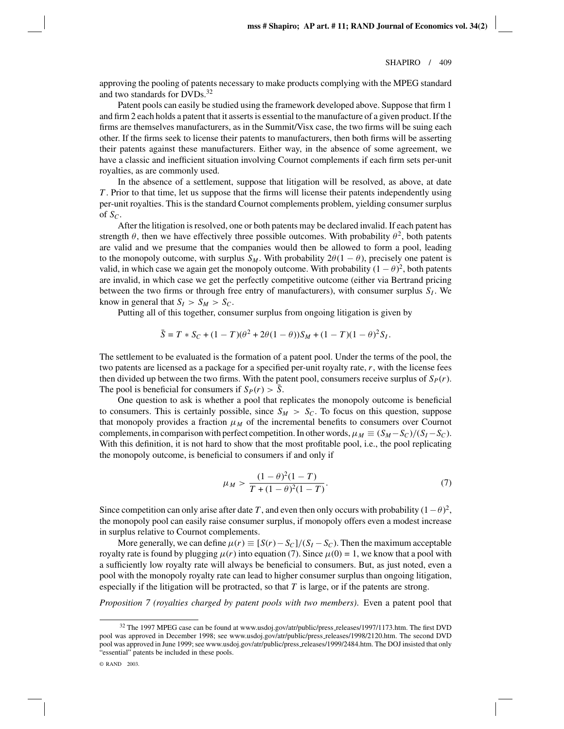approving the pooling of patents necessary to make products complying with the MPEG standard and two standards for  $DVDs<sup>32</sup>$ 

Patent pools can easily be studied using the framework developed above. Suppose that firm 1 and firm 2 each holds a patent that it asserts is essential to the manufacture of a given product. If the firms are themselves manufacturers, as in the Summit/Visx case, the two firms will be suing each other. If the firms seek to license their patents to manufacturers, then both firms will be asserting their patents against these manufacturers. Either way, in the absence of some agreement, we have a classic and inefficient situation involving Cournot complements if each firm sets per-unit royalties, as are commonly used.

In the absence of a settlement, suppose that litigation will be resolved, as above, at date *T* . Prior to that time, let us suppose that the firms will license their patents independently using per-unit royalties. This is the standard Cournot complements problem, yielding consumer surplus of  $S_C$ .

After the litigation is resolved, one or both patents may be declared invalid. If each patent has strength  $\theta$ , then we have effectively three possible outcomes. With probability  $\theta^2$ , both patents are valid and we presume that the companies would then be allowed to form a pool, leading to the monopoly outcome, with surplus  $S_M$ . With probability  $2\theta(1-\theta)$ , precisely one patent is valid, in which case we again get the monopoly outcome. With probability  $(1 - \theta)^2$ , both patents are invalid, in which case we get the perfectly competitive outcome (either via Bertrand pricing between the two firms or through free entry of manufacturers), with consumer surplus  $S_I$ . We know in general that  $S_I > S_M > S_C$ .

Putting all of this together, consumer surplus from ongoing litigation is given by

$$
\bar{S} = T * S_C + (1 - T)(\theta^2 + 2\theta(1 - \theta))S_M + (1 - T)(1 - \theta)^2 S_I.
$$

The settlement to be evaluated is the formation of a patent pool. Under the terms of the pool, the two patents are licensed as a package for a specified per-unit royalty rate, *r*, with the license fees then divided up between the two firms. With the patent pool, consumers receive surplus of  $S_P(r)$ . The pool is beneficial for consumers if  $S_P(r) > \overline{S}$ .

One question to ask is whether a pool that replicates the monopoly outcome is beneficial to consumers. This is certainly possible, since  $S_M > S_C$ . To focus on this question, suppose that monopoly provides a fraction  $\mu_M$  of the incremental benefits to consumers over Cournot complements, in comparison with perfect competition. In other words,  $\mu_M \equiv (S_M - S_C)/(S_I - S_C)$ . With this definition, it is not hard to show that the most profitable pool, i.e., the pool replicating the monopoly outcome, is beneficial to consumers if and only if

$$
\mu_M > \frac{(1-\theta)^2(1-T)}{T+(1-\theta)^2(1-T)}.\tag{7}
$$

Since competition can only arise after date *T*, and even then only occurs with probability  $(1 - \theta)^2$ , the monopoly pool can easily raise consumer surplus, if monopoly offers even a modest increase in surplus relative to Cournot complements.

More generally, we can define  $\mu(r) \equiv [S(r) - S_c]/(S_I - S_c)$ . Then the maximum acceptable royalty rate is found by plugging  $\mu(r)$  into equation (7). Since  $\mu(0) = 1$ , we know that a pool with a sufficiently low royalty rate will always be beneficial to consumers. But, as just noted, even a pool with the monopoly royalty rate can lead to higher consumer surplus than ongoing litigation, especially if the litigation will be protracted, so that *T* is large, or if the patents are strong.

*Proposition 7 (royalties charged by patent pools with two members)*. Even a patent pool that

<sup>32</sup> The 1997 MPEG case can be found at www.usdoj.gov/atr/public/press releases/1997/1173.htm. The first DVD pool was approved in December 1998; see www.usdoj.gov/atr/public/press releases/1998/2120.htm. The second DVD pool was approved in June 1999; see www.usdoj.gov/atr/public/press releases/1999/2484.htm. The DOJ insisted that only "essential" patents be included in these pools.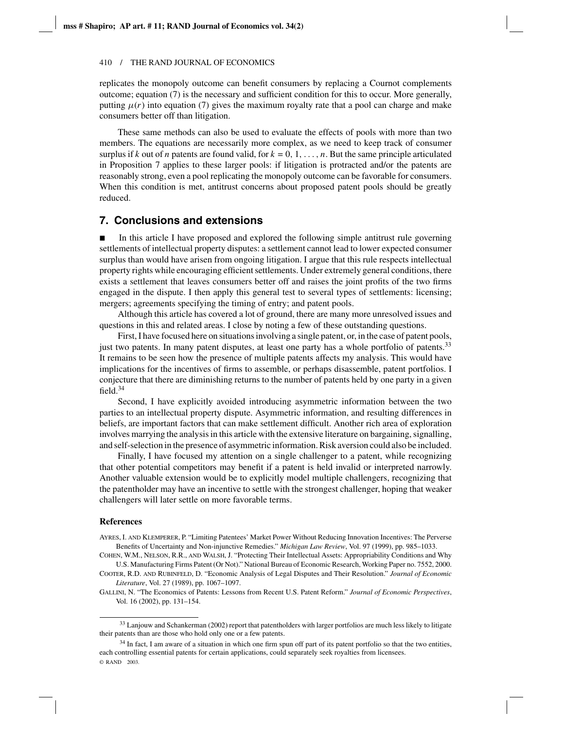replicates the monopoly outcome can benefit consumers by replacing a Cournot complements outcome; equation (7) is the necessary and sufficient condition for this to occur. More generally, putting  $\mu(r)$  into equation (7) gives the maximum royalty rate that a pool can charge and make consumers better off than litigation.

These same methods can also be used to evaluate the effects of pools with more than two members. The equations are necessarily more complex, as we need to keep track of consumer surplus if *k* out of *n* patents are found valid, for  $k = 0, 1, \ldots, n$ . But the same principle articulated in Proposition 7 applies to these larger pools: if litigation is protracted and/or the patents are reasonably strong, even a pool replicating the monopoly outcome can be favorable for consumers. When this condition is met, antitrust concerns about proposed patent pools should be greatly reduced.

### **7. Conclusions and extensions**

 In this article I have proposed and explored the following simple antitrust rule governing settlements of intellectual property disputes: a settlement cannot lead to lower expected consumer surplus than would have arisen from ongoing litigation. I argue that this rule respects intellectual property rights while encouraging efficient settlements. Under extremely general conditions, there exists a settlement that leaves consumers better off and raises the joint profits of the two firms engaged in the dispute. I then apply this general test to several types of settlements: licensing; mergers; agreements specifying the timing of entry; and patent pools.

Although this article has covered a lot of ground, there are many more unresolved issues and questions in this and related areas. I close by noting a few of these outstanding questions.

First, I have focused here on situations involving a single patent, or, in the case of patent pools, just two patents. In many patent disputes, at least one party has a whole portfolio of patents.<sup>33</sup> It remains to be seen how the presence of multiple patents affects my analysis. This would have implications for the incentives of firms to assemble, or perhaps disassemble, patent portfolios. I conjecture that there are diminishing returns to the number of patents held by one party in a given field  $34$ 

Second, I have explicitly avoided introducing asymmetric information between the two parties to an intellectual property dispute. Asymmetric information, and resulting differences in beliefs, are important factors that can make settlement difficult. Another rich area of exploration involves marrying the analysis in this article with the extensive literature on bargaining, signalling, and self-selection in the presence of asymmetric information. Risk aversion could also be included.

Finally, I have focused my attention on a single challenger to a patent, while recognizing that other potential competitors may benefit if a patent is held invalid or interpreted narrowly. Another valuable extension would be to explicitly model multiple challengers, recognizing that the patentholder may have an incentive to settle with the strongest challenger, hoping that weaker challengers will later settle on more favorable terms.

### **References**

AYRES, I. AND KLEMPERER, P. "Limiting Patentees' Market Power Without Reducing Innovation Incentives: The Perverse Benefits of Uncertainty and Non-injunctive Remedies." *Michigan Law Review*, Vol. 97 (1999), pp. 985–1033.

COHEN, W.M., NELSON, R.R., AND WALSH, J. "Protecting Their Intellectual Assets: Appropriability Conditions and Why

U.S. Manufacturing Firms Patent (Or Not)." National Bureau of Economic Research, Working Paper no. 7552, 2000. COOTER, R.D. AND RUBINFELD, D. "Economic Analysis of Legal Disputes and Their Resolution." *Journal of Economic Literature*, Vol. 27 (1989), pp. 1067–1097.

GALLINI, N. "The Economics of Patents: Lessons from Recent U.S. Patent Reform." *Journal of Economic Perspectives*, Vol. 16 (2002), pp. 131–154.

<sup>&</sup>lt;sup>33</sup> Lanjouw and Schankerman (2002) report that patentholders with larger portfolios are much less likely to litigate their patents than are those who hold only one or a few patents.

<sup>&</sup>lt;sup>34</sup> In fact, I am aware of a situation in which one firm spun off part of its patent portfolio so that the two entities, each controlling essential patents for certain applications, could separately seek royalties from licensees. © RAND 2003.